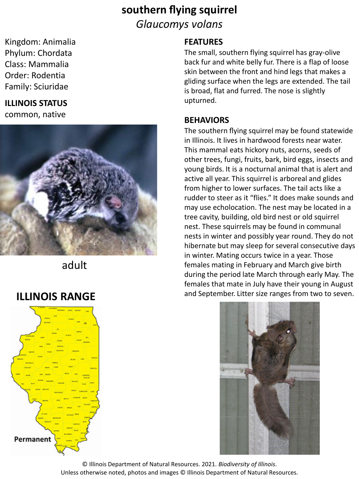# **southern flying squirrel** *Glaucomys volans*

Kingdom: Animalia Phylum: Chordata Class: Mammalia Order: Rodentia Family: Sciuridae

### **ILLINOIS STATUS** common, native



adult

## **ILLINOIS RANGE**



## **FEATURES**

The small, southern flying squirrel has gray-olive back fur and white belly fur. There is a flap of loose skin between the front and hind legs that makes a gliding surface when the legs are extended. The tail is broad, flat and furred. The nose is slightly upturned.

### **BEHAVIORS**

The southern flying squirrel may be found statewide in Illinois. It lives in hardwood forests near water. This mammal eats hickory nuts, acorns, seeds of other trees, fungi, fruits, bark, bird eggs, insects and young birds. It is a nocturnal animal that is alert and active all year. This squirrel is arboreal and glides from higher to lower surfaces. The tail acts like a rudder to steer as it "flies." It does make sounds and may use echolocation. The nest may be located in a tree cavity, building, old bird nest or old squirrel nest. These squirrels may be found in communal nests in winter and possibly year round. They do not hibernate but may sleep for several consecutive days in winter. Mating occurs twice in a year. Those females mating in February and March give birth during the period late March through early May. The females that mate in July have their young in August and September. Litter size ranges from two to seven.

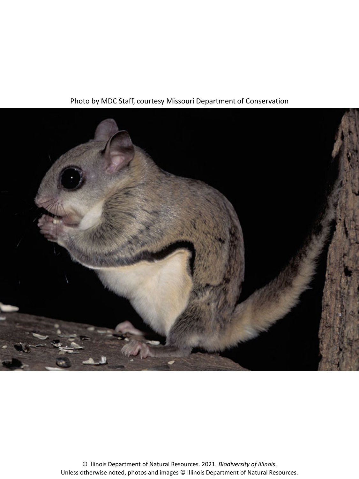

Photo by MDC Staff, courtesy Missouri Department of Conservation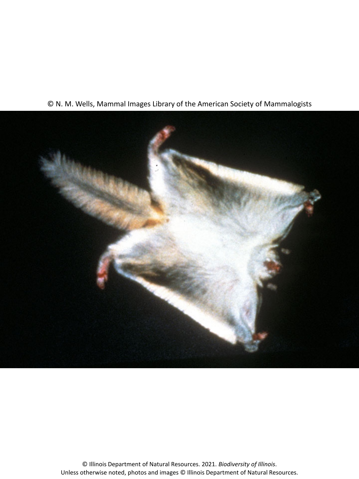#### © N. M. Wells, Mammal Images Library of the American Society of Mammalogists